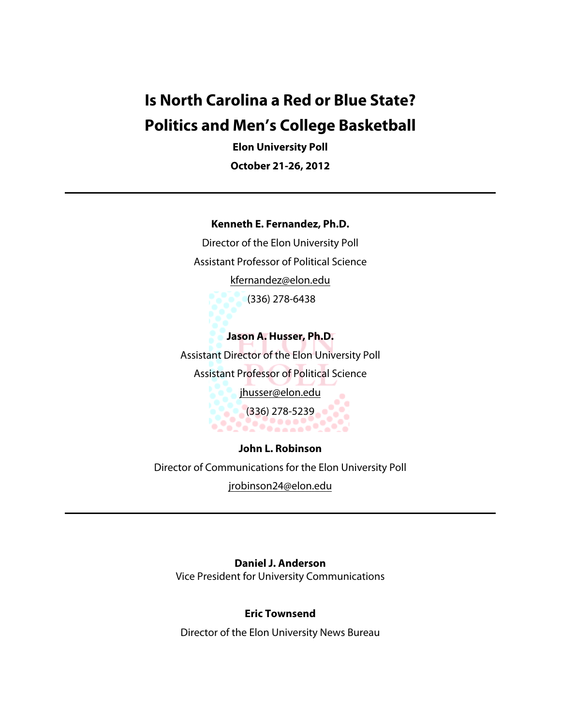# **Is North Carolina a Red or Blue State? Politics and Men's College Basketball**

**Elon University Poll October 21-26, 2012**

#### **Kenneth E. Fernandez, Ph.D.**

Director of the Elon University Poll Assistant Professor of Political Science kfernandez@elon.edu (336) 278-6438

**Jason A. Husser, Ph.D.** Assistant Director of the Elon University Poll Assistant Professor of Political Science jhusser@elon.edu (336) 278-5239 91 90

**John L. Robinson** Director of Communications for the Elon University Poll jrobinson24@elon.edu

**Daniel J. Anderson** Vice President for University Communications

#### **Eric Townsend**

Director of the Elon University News Bureau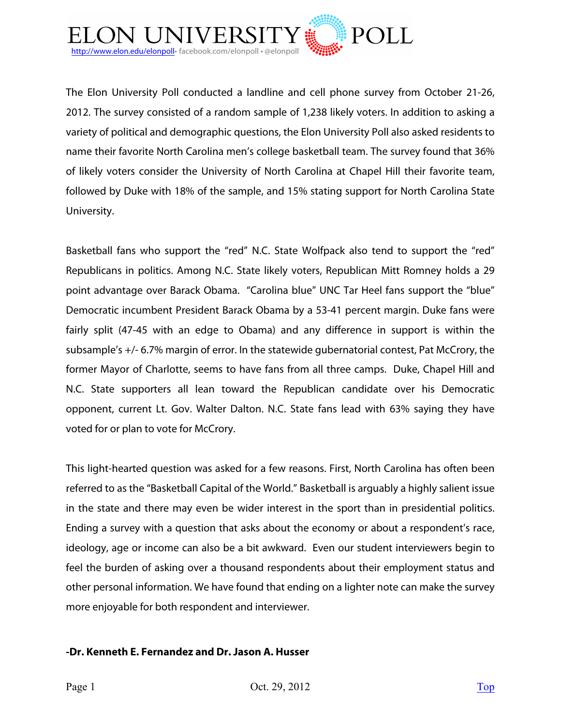

The Elon University Poll conducted a landline and cell phone survey from October 21-26, 2012. The survey consisted of a random sample of 1,238 likely voters. In addition to asking a variety of political and demographic questions, the Elon University Poll also asked residents to name their favorite North Carolina men's college basketball team. The survey found that 36% of likely voters consider the University of North Carolina at Chapel Hill their favorite team, followed by Duke with 18% of the sample, and 15% stating support for North Carolina State University.

Basketball fans who support the "red" N.C. State Wolfpack also tend to support the "red" Republicans in politics. Among N.C. State likely voters, Republican Mitt Romney holds a 29 point advantage over Barack Obama. "Carolina blue" UNC Tar Heel fans support the "blue" Democratic incumbent President Barack Obama by a 53-41 percent margin. Duke fans were fairly split (47-45 with an edge to Obama) and any difference in support is within the subsample's +/- 6.7% margin of error. In the statewide gubernatorial contest, Pat McCrory, the former Mayor of Charlotte, seems to have fans from all three camps. Duke, Chapel Hill and N.C. State supporters all lean toward the Republican candidate over his Democratic opponent, current Lt. Gov. Walter Dalton. N.C. State fans lead with 63% saying they have voted for or plan to vote for McCrory.

This light-hearted question was asked for a few reasons. First, North Carolina has often been referred to as the "Basketball Capital of the World." Basketball is arguably a highly salient issue in the state and there may even be wider interest in the sport than in presidential politics. Ending a survey with a question that asks about the economy or about a respondent's race, ideology, age or income can also be a bit awkward. Even our student interviewers begin to feel the burden of asking over a thousand respondents about their employment status and other personal information. We have found that ending on a lighter note can make the survey more enjoyable for both respondent and interviewer.

#### **-Dr. Kenneth E. Fernandez and Dr. Jason A. Husser**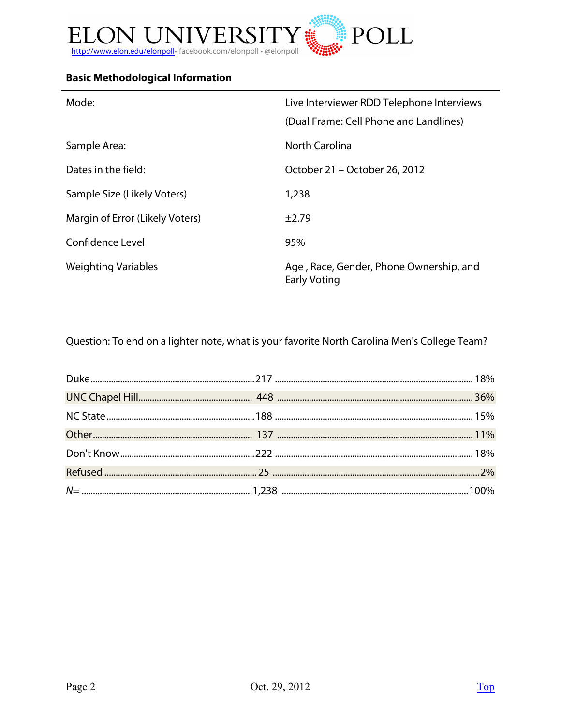

## **Basic Methodological Information**

| Mode:                           | Live Interviewer RDD Telephone Interviews                      |  |
|---------------------------------|----------------------------------------------------------------|--|
|                                 | (Dual Frame: Cell Phone and Landlines)                         |  |
| Sample Area:                    | North Carolina                                                 |  |
| Dates in the field:             | October 21 - October 26, 2012                                  |  |
| Sample Size (Likely Voters)     | 1,238                                                          |  |
| Margin of Error (Likely Voters) | $+2.79$                                                        |  |
| Confidence Level                | 95%                                                            |  |
| <b>Weighting Variables</b>      | Age, Race, Gender, Phone Ownership, and<br><b>Early Voting</b> |  |

Question: To end on a lighter note, what is your favorite North Carolina Men's College Team?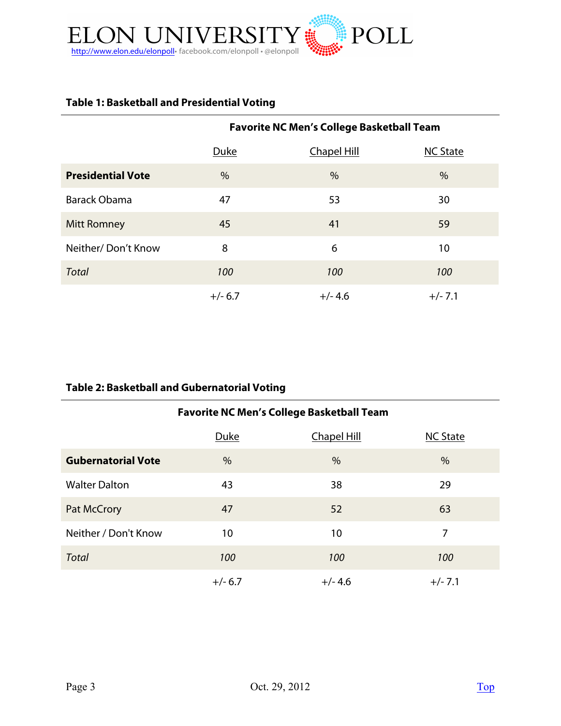

## **Table 1: Basketball and Presidential Voting**

|                          | <b>Favorite NC Men's College Basketball Team</b> |                    |                 |
|--------------------------|--------------------------------------------------|--------------------|-----------------|
|                          | Duke                                             | <b>Chapel Hill</b> | <b>NC State</b> |
| <b>Presidential Vote</b> | $\frac{0}{0}$                                    | %                  | $\frac{0}{0}$   |
| <b>Barack Obama</b>      | 47                                               | 53                 | 30              |
| <b>Mitt Romney</b>       | 45                                               | 41                 | 59              |
| Neither/Don't Know       | 8                                                | 6                  | 10              |
| <b>Total</b>             | 100                                              | 100                | 100             |
|                          | $+/- 6.7$                                        | $+/- 4.6$          | $+/- 7.1$       |

### **Table 2: Basketball and Gubernatorial Voting**

| <b>Favorite NC Men's College Basketball Team</b> |           |                    |                 |  |  |  |
|--------------------------------------------------|-----------|--------------------|-----------------|--|--|--|
|                                                  | Duke      | <b>Chapel Hill</b> | <b>NC State</b> |  |  |  |
| <b>Gubernatorial Vote</b>                        | $\%$      | $\%$               | $\frac{0}{0}$   |  |  |  |
| <b>Walter Dalton</b>                             | 43        | 38                 | 29              |  |  |  |
| Pat McCrory                                      | 47        | 52                 | 63              |  |  |  |
| Neither / Don't Know                             | 10        | 10                 | 7               |  |  |  |
| <b>Total</b>                                     | 100       | 100                | 100             |  |  |  |
|                                                  | $+/- 6.7$ | $+/- 4.6$          | $+/- 7.1$       |  |  |  |